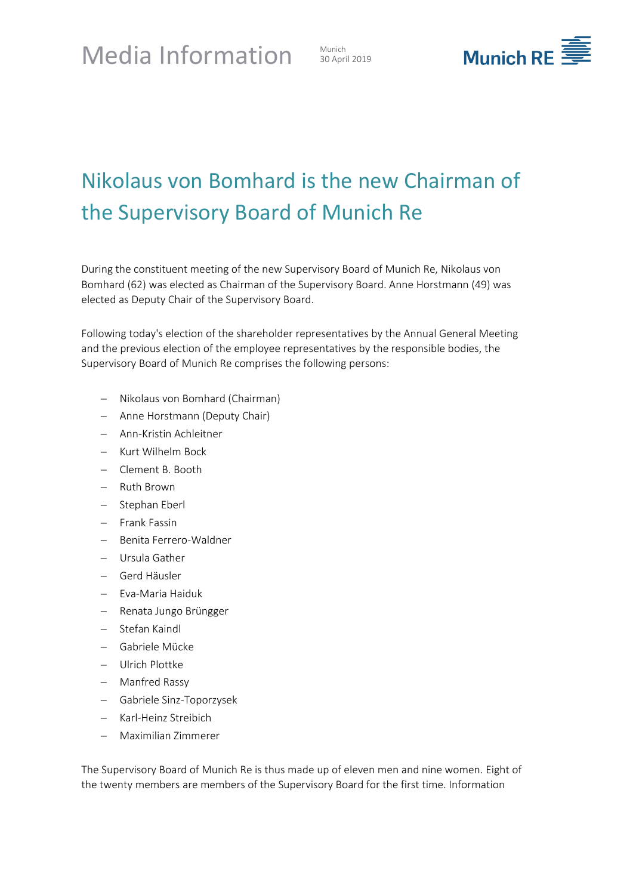

## Nikolaus von Bomhard is the new Chairman of the Supervisory Board of Munich Re

During the constituent meeting of the new Supervisory Board of Munich Re, Nikolaus von Bomhard (62) was elected as Chairman of the Supervisory Board. Anne Horstmann (49) was elected as Deputy Chair of the Supervisory Board.

Following today's election of the shareholder representatives by the Annual General Meeting and the previous election of the employee representatives by the responsible bodies, the Supervisory Board of Munich Re comprises the following persons:

- Nikolaus von Bomhard (Chairman)
- Anne Horstmann (Deputy Chair)
- Ann-Kristin Achleitner
- Kurt Wilhelm Bock
- Clement B. Booth
- Ruth Brown
- Stephan Eberl
- Frank Fassin
- Benita Ferrero-Waldner
- Ursula Gather
- Gerd Häusler
- Eva-Maria Haiduk
- Renata Jungo Brüngger
- Stefan Kaindl
- Gabriele Mücke
- Ulrich Plottke
- Manfred Rassy
- Gabriele Sinz-Toporzysek
- Karl-Heinz Streibich
- Maximilian Zimmerer

The Supervisory Board of Munich Re is thus made up of eleven men and nine women. Eight of the twenty members are members of the Supervisory Board for the first time. Information